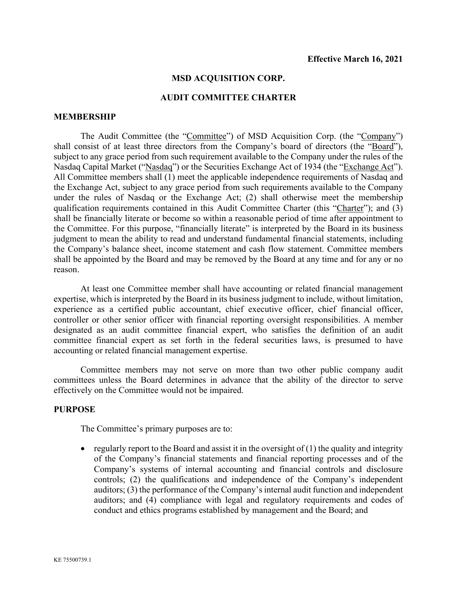#### **MSD ACQUISITION CORP.**

#### **AUDIT COMMITTEE CHARTER**

#### **MEMBERSHIP**

The Audit Committee (the "Committee") of MSD Acquisition Corp. (the "Company") shall consist of at least three directors from the Company's board of directors (the "Board"), subject to any grace period from such requirement available to the Company under the rules of the Nasdaq Capital Market ("Nasdaq") or the Securities Exchange Act of 1934 (the "Exchange Act"). All Committee members shall (1) meet the applicable independence requirements of Nasdaq and the Exchange Act, subject to any grace period from such requirements available to the Company under the rules of Nasdaq or the Exchange Act; (2) shall otherwise meet the membership qualification requirements contained in this Audit Committee Charter (this "Charter"); and (3) shall be financially literate or become so within a reasonable period of time after appointment to the Committee. For this purpose, "financially literate" is interpreted by the Board in its business judgment to mean the ability to read and understand fundamental financial statements, including the Company's balance sheet, income statement and cash flow statement. Committee members shall be appointed by the Board and may be removed by the Board at any time and for any or no reason.

At least one Committee member shall have accounting or related financial management expertise, which is interpreted by the Board in its business judgment to include, without limitation, experience as a certified public accountant, chief executive officer, chief financial officer, controller or other senior officer with financial reporting oversight responsibilities. A member designated as an audit committee financial expert, who satisfies the definition of an audit committee financial expert as set forth in the federal securities laws, is presumed to have accounting or related financial management expertise.

Committee members may not serve on more than two other public company audit committees unless the Board determines in advance that the ability of the director to serve effectively on the Committee would not be impaired.

### **PURPOSE**

The Committee's primary purposes are to:

• regularly report to the Board and assist it in the oversight of  $(1)$  the quality and integrity of the Company's financial statements and financial reporting processes and of the Company's systems of internal accounting and financial controls and disclosure controls; (2) the qualifications and independence of the Company's independent auditors; (3) the performance of the Company's internal audit function and independent auditors; and (4) compliance with legal and regulatory requirements and codes of conduct and ethics programs established by management and the Board; and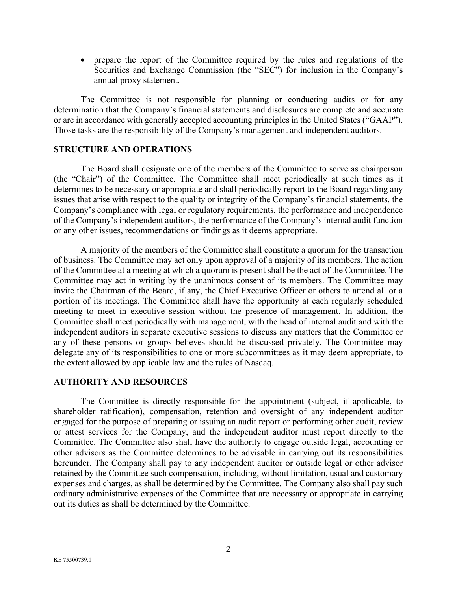• prepare the report of the Committee required by the rules and regulations of the Securities and Exchange Commission (the "SEC") for inclusion in the Company's annual proxy statement.

The Committee is not responsible for planning or conducting audits or for any determination that the Company's financial statements and disclosures are complete and accurate or are in accordance with generally accepted accounting principles in the United States ("GAAP"). Those tasks are the responsibility of the Company's management and independent auditors.

### **STRUCTURE AND OPERATIONS**

The Board shall designate one of the members of the Committee to serve as chairperson (the "Chair") of the Committee. The Committee shall meet periodically at such times as it determines to be necessary or appropriate and shall periodically report to the Board regarding any issues that arise with respect to the quality or integrity of the Company's financial statements, the Company's compliance with legal or regulatory requirements, the performance and independence of the Company's independent auditors, the performance of the Company's internal audit function or any other issues, recommendations or findings as it deems appropriate.

A majority of the members of the Committee shall constitute a quorum for the transaction of business. The Committee may act only upon approval of a majority of its members. The action of the Committee at a meeting at which a quorum is present shall be the act of the Committee. The Committee may act in writing by the unanimous consent of its members. The Committee may invite the Chairman of the Board, if any, the Chief Executive Officer or others to attend all or a portion of its meetings. The Committee shall have the opportunity at each regularly scheduled meeting to meet in executive session without the presence of management. In addition, the Committee shall meet periodically with management, with the head of internal audit and with the independent auditors in separate executive sessions to discuss any matters that the Committee or any of these persons or groups believes should be discussed privately. The Committee may delegate any of its responsibilities to one or more subcommittees as it may deem appropriate, to the extent allowed by applicable law and the rules of Nasdaq.

## **AUTHORITY AND RESOURCES**

The Committee is directly responsible for the appointment (subject, if applicable, to shareholder ratification), compensation, retention and oversight of any independent auditor engaged for the purpose of preparing or issuing an audit report or performing other audit, review or attest services for the Company, and the independent auditor must report directly to the Committee. The Committee also shall have the authority to engage outside legal, accounting or other advisors as the Committee determines to be advisable in carrying out its responsibilities hereunder. The Company shall pay to any independent auditor or outside legal or other advisor retained by the Committee such compensation, including, without limitation, usual and customary expenses and charges, as shall be determined by the Committee. The Company also shall pay such ordinary administrative expenses of the Committee that are necessary or appropriate in carrying out its duties as shall be determined by the Committee.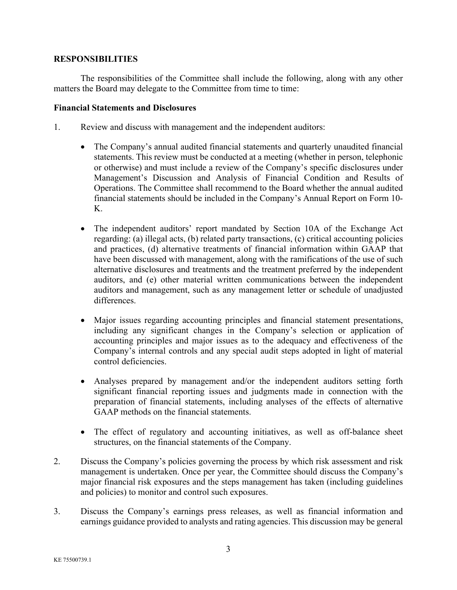# **RESPONSIBILITIES**

The responsibilities of the Committee shall include the following, along with any other matters the Board may delegate to the Committee from time to time:

## **Financial Statements and Disclosures**

- 1. Review and discuss with management and the independent auditors:
	- The Company's annual audited financial statements and quarterly unaudited financial statements. This review must be conducted at a meeting (whether in person, telephonic or otherwise) and must include a review of the Company's specific disclosures under Management's Discussion and Analysis of Financial Condition and Results of Operations. The Committee shall recommend to the Board whether the annual audited financial statements should be included in the Company's Annual Report on Form 10- K.
	- The independent auditors' report mandated by Section 10A of the Exchange Act regarding: (a) illegal acts, (b) related party transactions, (c) critical accounting policies and practices, (d) alternative treatments of financial information within GAAP that have been discussed with management, along with the ramifications of the use of such alternative disclosures and treatments and the treatment preferred by the independent auditors, and (e) other material written communications between the independent auditors and management, such as any management letter or schedule of unadjusted differences.
	- Major issues regarding accounting principles and financial statement presentations, including any significant changes in the Company's selection or application of accounting principles and major issues as to the adequacy and effectiveness of the Company's internal controls and any special audit steps adopted in light of material control deficiencies.
	- Analyses prepared by management and/or the independent auditors setting forth significant financial reporting issues and judgments made in connection with the preparation of financial statements, including analyses of the effects of alternative GAAP methods on the financial statements.
	- The effect of regulatory and accounting initiatives, as well as off-balance sheet structures, on the financial statements of the Company.
- 2. Discuss the Company's policies governing the process by which risk assessment and risk management is undertaken. Once per year, the Committee should discuss the Company's major financial risk exposures and the steps management has taken (including guidelines and policies) to monitor and control such exposures.
- 3. Discuss the Company's earnings press releases, as well as financial information and earnings guidance provided to analysts and rating agencies. This discussion may be general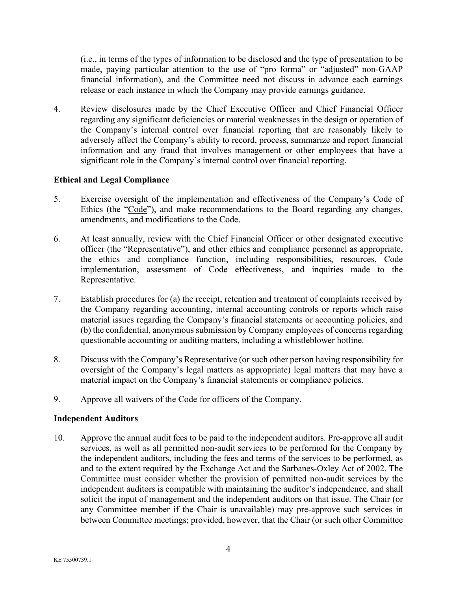(i.e., in terms of the types of information to be disclosed and the type of presentation to be made, paying particular attention to the use of "pro forma" or "adjusted" non-GAAP financial information), and the Committee need not discuss in advance each earnings release or each instance in which the Company may provide earnings guidance.

4. Review disclosures made by the Chief Executive Officer and Chief Financial Officer regarding any significant deficiencies or material weaknesses in the design or operation of the Company's internal control over financial reporting that are reasonably likely to adversely affect the Company's ability to record, process, summarize and report financial information and any fraud that involves management or other employees that have a significant role in the Company's internal control over financial reporting.

# **Ethical and Legal Compliance**

- 5. Exercise oversight of the implementation and effectiveness of the Company's Code of Ethics (the "Code"), and make recommendations to the Board regarding any changes, amendments, and modifications to the Code.
- 6. At least annually, review with the Chief Financial Officer or other designated executive officer (the "Representative"), and other ethics and compliance personnel as appropriate, the ethics and compliance function, including responsibilities, resources, Code implementation, assessment of Code effectiveness, and inquiries made to the Representative.
- 7. Establish procedures for (a) the receipt, retention and treatment of complaints received by the Company regarding accounting, internal accounting controls or reports which raise material issues regarding the Company's financial statements or accounting policies, and (b) the confidential, anonymous submission by Company employees of concerns regarding questionable accounting or auditing matters, including a whistleblower hotline.
- 8. Discuss with the Company's Representative (or such other person having responsibility for oversight of the Company's legal matters as appropriate) legal matters that may have a material impact on the Company's financial statements or compliance policies.
- 9. Approve all waivers of the Code for officers of the Company.

## **Independent Auditors**

10. Approve the annual audit fees to be paid to the independent auditors. Pre-approve all audit services, as well as all permitted non-audit services to be performed for the Company by the independent auditors, including the fees and terms of the services to be performed, as and to the extent required by the Exchange Act and the Sarbanes-Oxley Act of 2002. The Committee must consider whether the provision of permitted non-audit services by the independent auditors is compatible with maintaining the auditor's independence, and shall solicit the input of management and the independent auditors on that issue. The Chair (or any Committee member if the Chair is unavailable) may pre-approve such services in between Committee meetings; provided, however, that the Chair (or such other Committee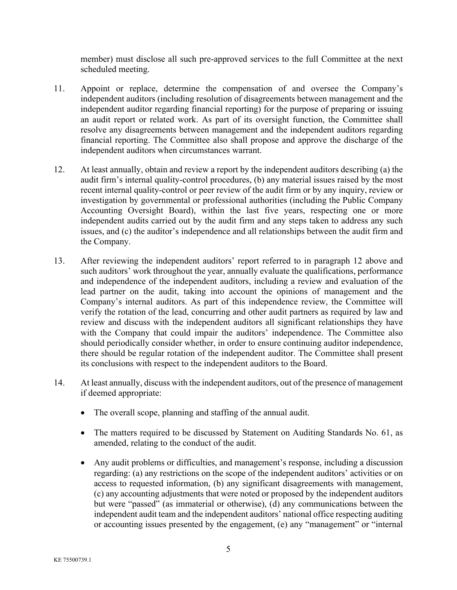member) must disclose all such pre-approved services to the full Committee at the next scheduled meeting.

- 11. Appoint or replace, determine the compensation of and oversee the Company's independent auditors (including resolution of disagreements between management and the independent auditor regarding financial reporting) for the purpose of preparing or issuing an audit report or related work. As part of its oversight function, the Committee shall resolve any disagreements between management and the independent auditors regarding financial reporting. The Committee also shall propose and approve the discharge of the independent auditors when circumstances warrant.
- 12. At least annually, obtain and review a report by the independent auditors describing (a) the audit firm's internal quality-control procedures, (b) any material issues raised by the most recent internal quality-control or peer review of the audit firm or by any inquiry, review or investigation by governmental or professional authorities (including the Public Company Accounting Oversight Board), within the last five years, respecting one or more independent audits carried out by the audit firm and any steps taken to address any such issues, and (c) the auditor's independence and all relationships between the audit firm and the Company.
- 13. After reviewing the independent auditors' report referred to in paragraph 12 above and such auditors' work throughout the year, annually evaluate the qualifications, performance and independence of the independent auditors, including a review and evaluation of the lead partner on the audit, taking into account the opinions of management and the Company's internal auditors. As part of this independence review, the Committee will verify the rotation of the lead, concurring and other audit partners as required by law and review and discuss with the independent auditors all significant relationships they have with the Company that could impair the auditors' independence. The Committee also should periodically consider whether, in order to ensure continuing auditor independence, there should be regular rotation of the independent auditor. The Committee shall present its conclusions with respect to the independent auditors to the Board.
- 14. At least annually, discuss with the independent auditors, out of the presence of management if deemed appropriate:
	- The overall scope, planning and staffing of the annual audit.
	- The matters required to be discussed by Statement on Auditing Standards No. 61, as amended, relating to the conduct of the audit.
	- Any audit problems or difficulties, and management's response, including a discussion regarding: (a) any restrictions on the scope of the independent auditors' activities or on access to requested information, (b) any significant disagreements with management, (c) any accounting adjustments that were noted or proposed by the independent auditors but were "passed" (as immaterial or otherwise), (d) any communications between the independent audit team and the independent auditors' national office respecting auditing or accounting issues presented by the engagement, (e) any "management" or "internal